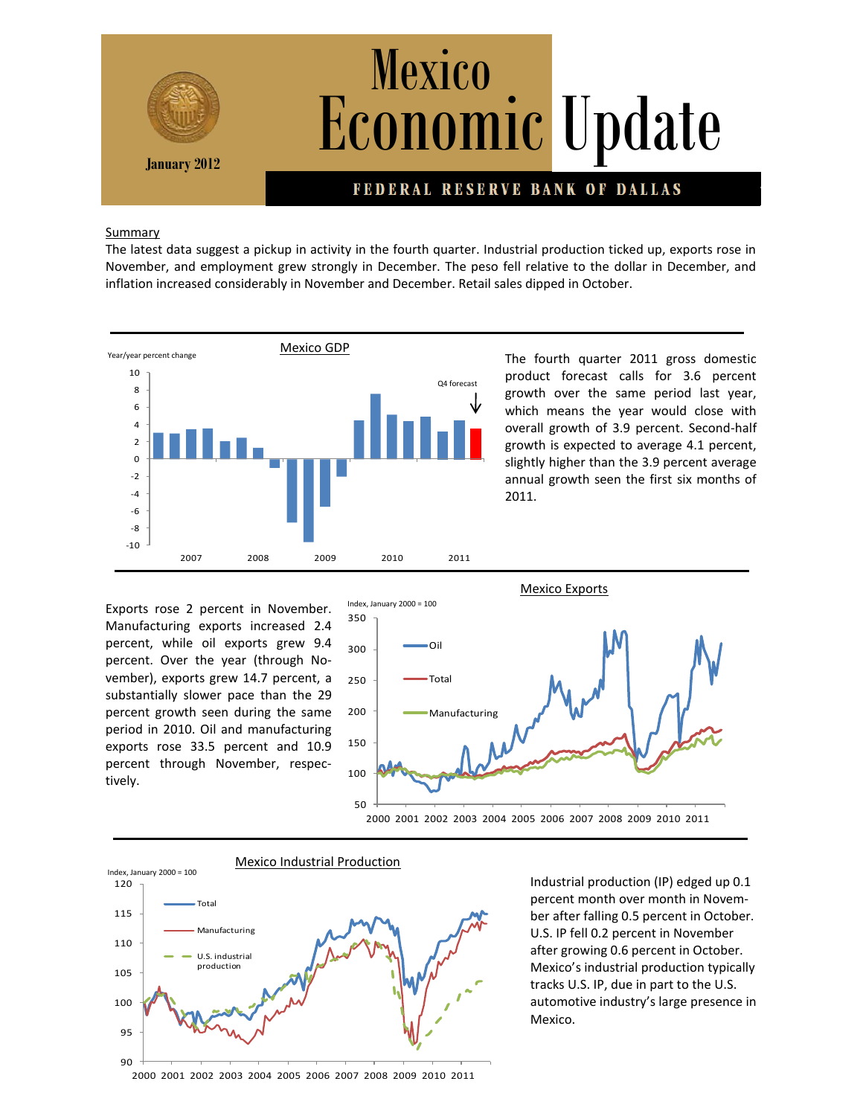

## Summary

The latest data suggest a pickup in activity in the fourth quarter. Industrial production ticked up, exports rose in November, and employment grew strongly in December. The peso fell relative to the dollar in December, and inflation increased considerably in November and December. Retail sales dipped in October.



The fourth quarter 2011 gross domestic product forecast calls for 3.6 percent growth over the same period last year, which means the year would close with overall growth of 3.9 percent. Second-half growth is expected to average 4.1 percent, slightly higher than the 3.9 percent average annual growth seen the first six months of 2011.

Exports rose 2 percent in November. Manufacturing exports increased 2.4 percent, while oil exports grew 9.4 percent. Over the year (through November), exports grew 14.7 percent, a substantially slower pace than the 29 percent growth seen during the same period in 2010. Oil and manufacturing exports rose 33.5 percent and 10.9 percent through November, respectively.





Industrial production (IP) edged up 0.1 percent month over month in November after falling 0.5 percent in October. U.S. IP fell 0.2 percent in November after growing 0.6 percent in October. Mexico's industrial production typically tracks U.S. IP, due in part to the U.S. automotive industry's large presence in Mexico.

2000 2001 2002 2003 2004 2005 2006 2007 2008 2009 2010 2011